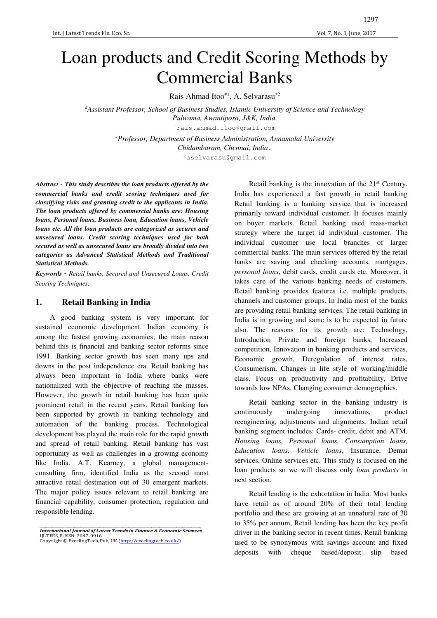# Loan products and Credit Scoring Methods by Commercial Banks

Rais Ahmad Itoo<sup>#1</sup>, A. Selvarasu<sup>\*2</sup>

*#Assistant Professor, School of Business Studies, Islamic University of Science and Technology Pulwama, Awantipora, J&K, India.*  <sup>1</sup>rais.ahmad.itoo@gmail.com

> \**Professor, Department of Business Administration, Annamalai University Chidambaram, Chennai, India*. <sup>2</sup>aselvarasu@gmail.com

*Abstract* - *This study describes the loan products offered by the commercial banks and credit scoring techniques used for classifying risks and granting credit to the applicants in India. The loan products offered by commercial banks are: Housing loans, Personal loans, Business loan, Education loans, Vehicle loans etc. All the loan products are categorized as secures and unsecured loans. Credit scoring techniques used for both secured as well as unsecured loans are broadly divided into two categories as Advanced Statistical Methods and Traditional Statistical Methods.* 

*Keywords* - *Retail banks, Secured and Unsecured Loans, Credit Scoring Techniques.*

## **1. Retail Banking in India**

A good banking system is very important for sustained economic development. Indian economy is among the fastest growing economies; the main reason behind this is financial and banking sector reforms since 1991. Banking sector growth has seen many ups and downs in the post independence era. Retail banking has always been important in India where banks were nationalized with the objective of reaching the masses. However, the growth in retail banking has been quite prominent retail in the recent years. Retail banking has been supported by growth in banking technology and automation of the banking process. Technological development has played the main role for the rapid growth and spread of retail banking. Retail banking has vast opportunity as well as challenges in a growing economy like India. A.T. Kearney, a global managementconsulting firm, identified India as the second most attractive retail destination out of 30 emergent markets. The major policy issues relevant to retail banking are financial capability, consumer protection, regulation and responsible lending.

Retail banking is the innovation of the 21<sup>st</sup> Century. India has experienced a fast growth in retail banking Retail banking is a banking service that is increased primarily toward individual customer. It focuses mainly on buyer markets. Retail banking used mass-market strategy where the target id individual customer. The individual customer use local branches of larger commercial banks. The main services offered by the retail banks are saving and checking accounts, mortgages, *personal loans*, debit cards, credit cards etc. Moreover, it takes care of the various banking needs of customers. Retail banking provides features i.e. multiple products, channels and customer groups. In India most of the banks are providing retail banking services. The retail banking in India is in growing and same is to be expected in future also. The reasons for its growth are: Technology, Introduction Private and foreign banks, Increased competition, Innovation in banking products and services, Economic growth, Deregulation of interest rates, Consumerism, Changes in life style of working/middle class, Focus on productivity and profitability, Drive towards low NPAs, Changing consumer demographics.

Retail banking sector in the banking industry is continuously undergoing innovations, product reengineering, adjustments and alignments. Indian retail banking segment includes: Cards- credit, debit and ATM, *Housing loans, Personal loans, Consumption loans, Education loans, Vehicle loans*, Insurance, Demat services, Online services etc. This study is focused on the loan products so we will discuss only *loan products* in next section.

Retail lending is the exhortation in India. Most banks have retail as of around 20% of their total lending portfolio and these are growing at an unnatural rate of 30 to 35% per annum, Retail lending has been the key profit driver in the banking sector in recent times. Retail banking used to be synonymous with savings account and fixed deposits with cheque based/deposit slip based

\_\_\_\_\_\_\_\_\_\_\_\_\_\_\_\_\_\_\_\_\_\_\_\_\_\_\_\_\_\_\_\_\_\_\_\_\_\_\_\_\_\_\_\_\_\_\_\_\_\_\_\_\_\_\_\_\_\_\_\_\_\_\_\_\_\_\_\_\_\_\_\_\_\_\_\_\_\_\_\_\_\_\_\_ *International Journal of Latest Trends in Finance & Economic Sciences*  IJLTFES, E-ISSN: 2047-0916 Copyright © ExcelingTech, Pub, UK (http://excelingtech.co.uk/)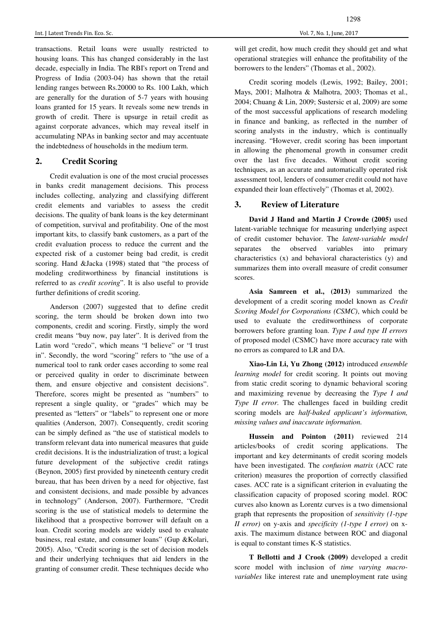transactions. Retail loans were usually restricted to housing loans. This has changed considerably in the last decade, especially in India. The RBI's report on Trend and Progress of India (2003-04) has shown that the retail lending ranges between Rs.20000 to Rs. 100 Lakh, which are generally for the duration of 5-7 years with housing loans granted for 15 years. It reveals some new trends in growth of credit. There is upsurge in retail credit as against corporate advances, which may reveal itself in accumulating NPAs in banking sector and may accentuate the indebtedness of households in the medium term.

## **2. Credit Scoring**

Credit evaluation is one of the most crucial processes in banks credit management decisions. This process includes collecting, analyzing and classifying different credit elements and variables to assess the credit decisions. The quality of bank loans is the key determinant of competition, survival and profitability. One of the most important kits, to classify bank customers, as a part of the credit evaluation process to reduce the current and the expected risk of a customer being bad credit, is credit scoring. Hand &Jacka (1998) stated that "the process of modeling creditworthiness by financial institutions is referred to as *credit scoring*". It is also useful to provide further definitions of credit scoring.

Anderson (2007) suggested that to define credit scoring, the term should be broken down into two components, credit and scoring. Firstly, simply the word credit means "buy now, pay later". It is derived from the Latin word "credo", which means "I believe" or "I trust in". Secondly, the word "scoring" refers to "the use of a numerical tool to rank order cases according to some real or perceived quality in order to discriminate between them, and ensure objective and consistent decisions". Therefore, scores might be presented as "numbers" to represent a single quality, or "grades" which may be presented as "letters" or "labels" to represent one or more qualities (Anderson, 2007). Consequently, credit scoring can be simply defined as "the use of statistical models to transform relevant data into numerical measures that guide credit decisions. It is the industrialization of trust; a logical future development of the subjective credit ratings (Beynon, 2005) first provided by nineteenth century credit bureau, that has been driven by a need for objective, fast and consistent decisions, and made possible by advances in technology" (Anderson, 2007). Furthermore, "Credit scoring is the use of statistical models to determine the likelihood that a prospective borrower will default on a loan. Credit scoring models are widely used to evaluate business, real estate, and consumer loans" (Gup &Kolari, 2005). Also, "Credit scoring is the set of decision models and their underlying techniques that aid lenders in the granting of consumer credit. These techniques decide who

will get credit, how much credit they should get and what operational strategies will enhance the profitability of the borrowers to the lenders" (Thomas et al., 2002).

Credit scoring models (Lewis, 1992; Bailey, 2001; Mays, 2001; Malhotra & Malhotra, 2003; Thomas et al., 2004; Chuang & Lin, 2009; Sustersic et al, 2009) are some of the most successful applications of research modeling in finance and banking, as reflected in the number of scoring analysts in the industry, which is continually increasing. "However, credit scoring has been important in allowing the phenomenal growth in consumer credit over the last five decades. Without credit scoring techniques, as an accurate and automatically operated risk assessment tool, lenders of consumer credit could not have expanded their loan effectively" (Thomas et al, 2002).

## **3. Review of Literature**

**David J Hand and Martin J Crowde (2005)** used latent-variable technique for measuring underlying aspect of credit customer behavior. The *latent-variable model* separates the observed variables into primary characteristics (x) and behavioral characteristics (y) and summarizes them into overall measure of credit consumer scores.

**Asia Samreen et al., (2013)** summarized the development of a credit scoring model known as *Credit Scoring Model for Corporations (CSMC)*, which could be used to evaluate the creditworthiness of corporate borrowers before granting loan. *Type I and type II errors* of proposed model (CSMC) have more accuracy rate with no errors as compared to LR and DA.

**Xiao-Lin Li, Yu Zhong (2012)** introduced *ensemble learning model* for credit scoring. It points out moving from static credit scoring to dynamic behavioral scoring and maximizing revenue by decreasing the *Type I and Type II error*. The challenges faced in building credit scoring models are *half-baked applicant's information, missing values and inaccurate information.* 

**Hussein and Pointon (2011)** reviewed 214 articles/books of credit scoring applications. The important and key determinants of credit scoring models have been investigated. The *confusion matrix* (ACC rate criterion) measures the proportion of correctly classified cases. ACC rate is a significant criterion in evaluating the classification capacity of proposed scoring model. ROC curves also known as Lorentz curves is a two dimensional graph that represents the proposition of *sensitivity (1-type II error)* on y-axis and *specificity (1-type I error)* on xaxis. The maximum distance between ROC and diagonal is equal to constant times K-S statistics.

**T Bellotti and J Crook (2009)** developed a credit score model with inclusion of *time varying macrovariables* like interest rate and unemployment rate using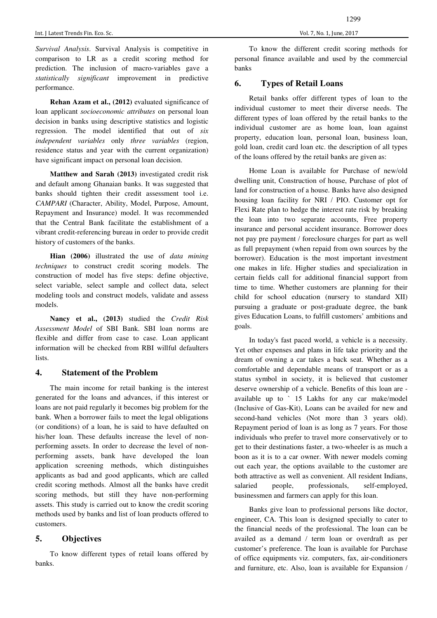*Survival Analysis*. Survival Analysis is competitive in comparison to LR as a credit scoring method for prediction. The inclusion of macro-variables gave a *statistically significant* improvement in predictive performance.

**Rehan Azam et al., (2012)** evaluated significance of loan applicant *socioeconomic attributes* on personal loan decision in banks using descriptive statistics and logistic regression. The model identified that out of *six independent variables* only *three variables* (region, residence status and year with the current organization) have significant impact on personal loan decision.

**Matthew and Sarah (2013)** investigated credit risk and default among Ghanaian banks. It was suggested that banks should tighten their credit assessment tool i.e. *CAMPARI* (Character, Ability, Model, Purpose, Amount, Repayment and Insurance) model. It was recommended that the Central Bank facilitate the establishment of a vibrant credit-referencing bureau in order to provide credit history of customers of the banks.

**Hian (2006)** illustrated the use of *data mining techniques* to construct credit scoring models. The construction of model has five steps: define objective, select variable, select sample and collect data, select modeling tools and construct models, validate and assess models.

**Nancy et al., (2013)** studied the *Credit Risk Assessment Model* of SBI Bank. SBI loan norms are flexible and differ from case to case. Loan applicant information will be checked from RBI willful defaulters lists.

## **4. Statement of the Problem**

The main income for retail banking is the interest generated for the loans and advances, if this interest or loans are not paid regularly it becomes big problem for the bank. When a borrower fails to meet the legal obligations (or conditions) of a loan, he is said to have defaulted on his/her loan. These defaults increase the level of nonperforming assets. In order to decrease the level of nonperforming assets, bank have developed the loan application screening methods, which distinguishes applicants as bad and good applicants, which are called credit scoring methods. Almost all the banks have credit scoring methods, but still they have non-performing assets. This study is carried out to know the credit scoring methods used by banks and list of loan products offered to customers.

## **5. Objectives**

To know different types of retail loans offered by banks.

To know the different credit scoring methods for personal finance available and used by the commercial banks

## **6. Types of Retail Loans**

Retail banks offer different types of loan to the individual customer to meet their diverse needs. The different types of loan offered by the retail banks to the individual customer are as home loan, loan against property, education loan, personal loan, business loan, gold loan, credit card loan etc. the description of all types of the loans offered by the retail banks are given as:

Home Loan is available for Purchase of new/old dwelling unit, Construction of house, Purchase of plot of land for construction of a house. Banks have also designed housing loan facility for NRI / PIO. Customer opt for Flexi Rate plan to hedge the interest rate risk by breaking the loan into two separate accounts, Free property insurance and personal accident insurance. Borrower does not pay pre payment / foreclosure charges for part as well as full prepayment (when repaid from own sources by the borrower). Education is the most important investment one makes in life. Higher studies and specialization in certain fields call for additional financial support from time to time. Whether customers are planning for their child for school education (nursery to standard XII) pursuing a graduate or post-graduate degree, the bank gives Education Loans, to fulfill customers' ambitions and goals.

In today's fast paced world, a vehicle is a necessity. Yet other expenses and plans in life take priority and the dream of owning a car takes a back seat. Whether as a comfortable and dependable means of transport or as a status symbol in society, it is believed that customer deserve ownership of a vehicle. Benefits of this loan are available up to ` 15 Lakhs for any car make/model (Inclusive of Gas-Kit), Loans can be availed for new and second-hand vehicles (Not more than 3 years old). Repayment period of loan is as long as 7 years. For those individuals who prefer to travel more conservatively or to get to their destinations faster, a two-wheeler is as much a boon as it is to a car owner. With newer models coming out each year, the options available to the customer are both attractive as well as convenient. All resident Indians, salaried people, professionals, self-employed, businessmen and farmers can apply for this loan.

Banks give loan to professional persons like doctor, engineer, CA. This loan is designed specially to cater to the financial needs of the professional. The loan can be availed as a demand / term loan or overdraft as per customer's preference. The loan is available for Purchase of office equipments viz. computers, fax, air-conditioners and furniture, etc. Also, loan is available for Expansion /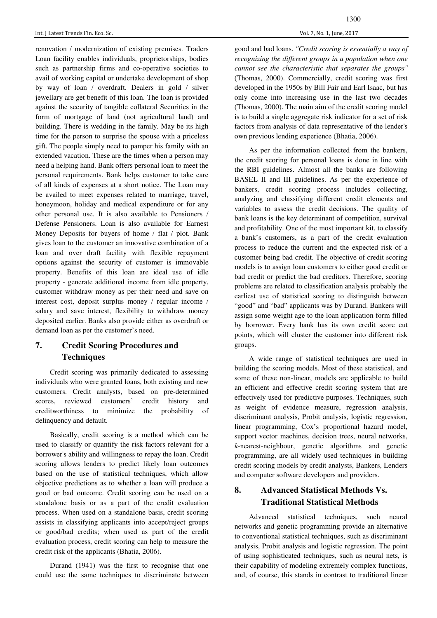renovation / modernization of existing premises. Traders Loan facility enables individuals, proprietorships, bodies such as partnership firms and co-operative societies to avail of working capital or undertake development of shop by way of loan / overdraft. Dealers in gold / silver jewellary are get benefit of this loan. The loan is provided against the security of tangible collateral Securities in the form of mortgage of land (not agricultural land) and building. There is wedding in the family. May be its high time for the person to surprise the spouse with a priceless gift. The people simply need to pamper his family with an extended vacation. These are the times when a person may need a helping hand. Bank offers personal loan to meet the personal requirements. Bank helps customer to take care of all kinds of expenses at a short notice. The Loan may be availed to meet expenses related to marriage, travel, honeymoon, holiday and medical expenditure or for any other personal use. It is also available to Pensioners / Defense Pensioners. Loan is also available for Earnest Money Deposits for buyers of home / flat / plot. Bank gives loan to the customer an innovative combination of a loan and over draft facility with flexible repayment options against the security of customer is immovable property. Benefits of this loan are ideal use of idle property - generate additional income from idle property, customer withdraw money as per their need and save on interest cost, deposit surplus money / regular income / salary and save interest, flexibility to withdraw money deposited earlier. Banks also provide either as overdraft or demand loan as per the customer's need.

# **7. Credit Scoring Procedures and Techniques**

Credit scoring was primarily dedicated to assessing individuals who were granted loans, both existing and new customers. Credit analysts, based on pre-determined scores, reviewed customers' credit history and creditworthiness to minimize the probability of delinquency and default.

Basically, credit scoring is a method which can be used to classify or quantify the risk factors relevant for a borrower's ability and willingness to repay the loan. Credit scoring allows lenders to predict likely loan outcomes based on the use of statistical techniques, which allow objective predictions as to whether a loan will produce a good or bad outcome. Credit scoring can be used on a standalone basis or as a part of the credit evaluation process. When used on a standalone basis, credit scoring assists in classifying applicants into accept/reject groups or good/bad credits; when used as part of the credit evaluation process, credit scoring can help to measure the credit risk of the applicants (Bhatia, 2006).

Durand (1941) was the first to recognise that one could use the same techniques to discriminate between good and bad loans. *"Credit scoring is essentially a way of recognizing the different groups in a population when one cannot see the characteristic that separates the groups"*  (Thomas, 2000). Commercially, credit scoring was first developed in the 1950s by Bill Fair and Earl Isaac, but has only come into increasing use in the last two decades (Thomas, 2000). The main aim of the credit scoring model is to build a single aggregate risk indicator for a set of risk factors from analysis of data representative of the lender's own previous lending experience (Bhatia, 2006).

As per the information collected from the bankers, the credit scoring for personal loans is done in line with the RBI guidelines. Almost all the banks are following BASEL II and III guidelines. As per the experience of bankers, credit scoring process includes collecting, analyzing and classifying different credit elements and variables to assess the credit decisions. The quality of bank loans is the key determinant of competition, survival and profitability. One of the most important kit, to classify a bank's customers, as a part of the credit evaluation process to reduce the current and the expected risk of a customer being bad credit. The objective of credit scoring models is to assign loan customers to either good credit or bad credit or predict the bad creditors. Therefore, scoring problems are related to classification analysis probably the earliest use of statistical scoring to distinguish between "good" and "bad" applicants was by Durand. Bankers will assign some weight age to the loan application form filled by borrower. Every bank has its own credit score cut points, which will cluster the customer into different risk groups.

A wide range of statistical techniques are used in building the scoring models. Most of these statistical, and some of these non-linear, models are applicable to build an efficient and effective credit scoring system that are effectively used for predictive purposes. Techniques, such as weight of evidence measure, regression analysis, discriminant analysis, Probit analysis, logistic regression, linear programming, Cox's proportional hazard model, support vector machines, decision trees, neural networks, *k*-nearest-neighbour, genetic algorithms and genetic programming, are all widely used techniques in building credit scoring models by credit analysts, Bankers, Lenders and computer software developers and providers.

# **8. Advanced Statistical Methods Vs. Traditional Statistical Methods**

Advanced statistical techniques, such neural networks and genetic programming provide an alternative to conventional statistical techniques, such as discriminant analysis, Probit analysis and logistic regression. The point of using sophisticated techniques, such as neural nets, is their capability of modeling extremely complex functions, and, of course, this stands in contrast to traditional linear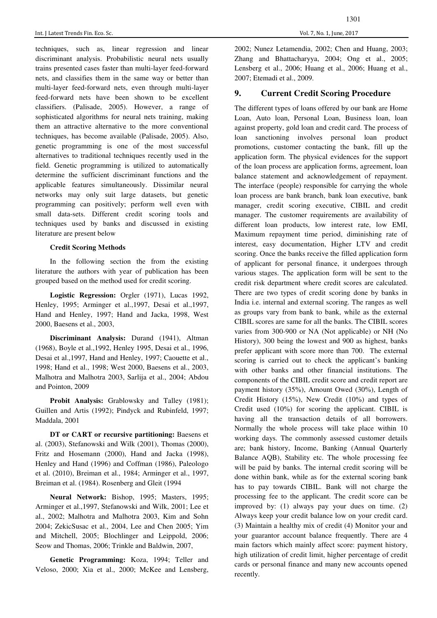techniques, such as, linear regression and linear discriminant analysis. Probabilistic neural nets usually trains presented cases faster than multi-layer feed-forward nets, and classifies them in the same way or better than multi-layer feed-forward nets, even through multi-layer feed-forward nets have been shown to be excellent classifiers. (Palisade, 2005). However, a range of sophisticated algorithms for neural nets training, making them an attractive alternative to the more conventional techniques, has become available (Palisade, 2005). Also, genetic programming is one of the most successful alternatives to traditional techniques recently used in the field. Genetic programming is utilized to automatically determine the sufficient discriminant functions and the applicable features simultaneously. Dissimilar neural networks may only suit large datasets, but genetic programming can positively; perform well even with small data-sets. Different credit scoring tools and techniques used by banks and discussed in existing literature are present below

#### **Credit Scoring Methods**

In the following section the from the existing literature the authors with year of publication has been grouped based on the method used for credit scoring.

**Logistic Regression:** Orgler (1971), Lucas 1992, Henley, 1995; Arminger et al.,1997, Desai et al.,1997, Hand and Henley, 1997; Hand and Jacka, 1998, West 2000, Baesens et al., 2003,

**Discriminant Analysis:** Durand (1941), Altman (1968), Boyle et al.,1992, Henley 1995, Desai et al., 1996, Desai et al.,1997, Hand and Henley, 1997; Caouette et al., 1998; Hand et al., 1998; West 2000, Baesens et al., 2003, Malhotra and Malhotra 2003, Sarlija et al., 2004; Abdou and Pointon, 2009

Probit Analysis: Grablowsky and Talley (1981); Guillen and Artis (1992); Pindyck and Rubinfeld, 1997; Maddala, 2001

**DT or CART or recursive partitioning:** Baesens et al. (2003), Stefanowski and Wilk (2001), Thomas (2000), Fritz and Hosemann (2000), Hand and Jacka (1998), Henley and Hand (1996) and Coffman (1986), Paleologo et al. (2010), Breiman et al., 1984; Arminger et al., 1997, Breiman et al. (1984). Rosenberg and Gleit (1994

**Neural Network:** Bishop, 1995; Masters, 1995; Arminger et al.,1997, Stefanowski and Wilk, 2001; Lee et al., 2002; Malhotra and Malhotra 2003, Kim and Sohn 2004; ZekicSusac et al., 2004, Lee and Chen 2005; Yim and Mitchell, 2005; Blochlinger and Leippold, 2006; Seow and Thomas, 2006; Trinkle and Baldwin, 2007,

**Genetic Programming:** Koza, 1994; Teller and Veloso, 2000; Xia et al., 2000; McKee and Lensberg,

## **9. Current Credit Scoring Procedure**

The different types of loans offered by our bank are Home Loan, Auto loan, Personal Loan, Business loan, loan against property, gold loan and credit card. The process of loan sanctioning involves personal loan product promotions, customer contacting the bank, fill up the application form. The physical evidences for the support of the loan process are application forms, agreement, loan balance statement and acknowledgement of repayment. The interface (people) responsible for carrying the whole loan process are bank branch, bank loan executive, bank manager, credit scoring executive, CIBIL and credit manager. The customer requirements are availability of different loan products, low interest rate, low EMI, Maximum repayment time period, diminishing rate of interest, easy documentation, Higher LTV and credit scoring. Once the banks receive the filled application form of applicant for personal finance, it undergoes through various stages. The application form will be sent to the credit risk department where credit scores are calculated. There are two types of credit scoring done by banks in India i.e. internal and external scoring. The ranges as well as groups vary from bank to bank, while as the external CIBIL scores are same for all the banks. The CIBIL scores varies from 300-900 or NA (Not applicable) or NH (No History), 300 being the lowest and 900 as highest, banks prefer applicant with score more than 700. The external scoring is carried out to check the applicant's banking with other banks and other financial institutions. The components of the CIBIL credit score and credit report are payment history (35%), Amount Owed (30%), Length of Credit History (15%), New Credit (10%) and types of Credit used (10%) for scoring the applicant. CIBIL is having all the transaction details of all borrowers. Normally the whole process will take place within 10 working days. The commonly assessed customer details are; bank history, Income, Banking (Annual Quarterly Balance AQB), Stability etc. The whole processing fee will be paid by banks. The internal credit scoring will be done within bank, while as for the external scoring bank has to pay towards CIBIL. Bank will not charge the processing fee to the applicant. The credit score can be improved by: (1) always pay your dues on time. (2) Always keep your credit balance low on your credit card. (3) Maintain a healthy mix of credit (4) Monitor your and your guarantor account balance frequently. There are 4 main factors which mainly affect score: payment history, high utilization of credit limit, higher percentage of credit cards or personal finance and many new accounts opened recently.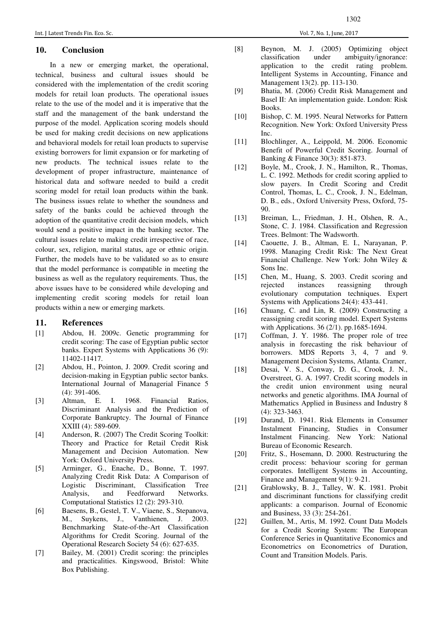## **10. Conclusion**

In a new or emerging market, the operational, technical, business and cultural issues should be considered with the implementation of the credit scoring models for retail loan products. The operational issues relate to the use of the model and it is imperative that the staff and the management of the bank understand the purpose of the model. Application scoring models should be used for making credit decisions on new applications and behavioral models for retail loan products to supervise existing borrowers for limit expansion or for marketing of new products. The technical issues relate to the development of proper infrastructure, maintenance of historical data and software needed to build a credit scoring model for retail loan products within the bank. The business issues relate to whether the soundness and safety of the banks could be achieved through the adoption of the quantitative credit decision models, which would send a positive impact in the banking sector. The cultural issues relate to making credit irrespective of race, colour, sex, religion, marital status, age or ethnic origin. Further, the models have to be validated so as to ensure that the model performance is compatible in meeting the business as well as the regulatory requirements. Thus, the above issues have to be considered while developing and implementing credit scoring models for retail loan products within a new or emerging markets.

#### **11. References**

- [1] Abdou, H. 2009c. Genetic programming for credit scoring: The case of Egyptian public sector banks. Expert Systems with Applications 36 (9): 11402-11417.
- [2] Abdou, H., Pointon, J. 2009. Credit scoring and decision-making in Egyptian public sector banks. International Journal of Managerial Finance 5 (4): 391-406.
- [3] Altman, E. I. 1968. Financial Ratios, Discriminant Analysis and the Prediction of Corporate Bankruptcy. The Journal of Finance XXIII (4): 589-609.
- [4] Anderson, R. (2007) The Credit Scoring Toolkit: Theory and Practice for Retail Credit Risk Management and Decision Automation. New York: Oxford University Press.
- [5] Arminger, G., Enache, D., Bonne, T. 1997. Analyzing Credit Risk Data: A Comparison of Logistic Discriminant, Classification Tree Analysis, and Feedforward Networks. Computational Statistics 12 (2): 293-310.
- [6] Baesens, B., Gestel, T. V., Viaene, S., Stepanova, M., Suykens, J., Vanthienen, J. 2003. Benchmarking State-of-the-Art Classification Algorithms for Credit Scoring. Journal of the Operational Research Society 54 (6): 627-635.
- [7] Bailey, M. (2001) Credit scoring: the principles and practicalities. Kingswood, Bristol: White Box Publishing.
- [8] Beynon, M. J. (2005) Optimizing object classification under ambiguity/ignorance: application to the credit rating problem. Intelligent Systems in Accounting, Finance and Management 13(2). pp. 113-130.
- [9] Bhatia, M. (2006) Credit Risk Management and Basel II: An implementation guide. London: Risk Books.
- [10] Bishop, C. M. 1995. Neural Networks for Pattern Recognition. New York: Oxford University Press Inc.
- [11] Blochlinger, A., Leippold, M. 2006. Economic Benefit of Powerful Credit Scoring. Journal of Banking & Finance 30(3): 851-873.
- [12] Boyle, M., Crook, J. N., Hamilton, R., Thomas, L. C. 1992. Methods for credit scoring applied to slow payers. In Credit Scoring and Credit Control, Thomas, L. C., Crook, J. N., Edelman, D. B., eds., Oxford University Press, Oxford, 75- 90.
- [13] Breiman, L., Friedman, J. H., Olshen, R. A., Stone, C. J. 1984. Classification and Regression Trees. Belmont: The Wadsworth.
- [14] Caouette, J. B., Altman, E. I., Narayanan, P. 1998. Managing Credit Risk: The Next Great Financial Challenge. New York: John Wiley & Sons Inc.
- [15] Chen, M., Huang, S. 2003. Credit scoring and rejected instances reassigning through evolutionary computation techniques. Expert Systems with Applications 24(4): 433-441.
- [16] Chuang, C. and Lin, R. (2009) Constructing a reassigning credit scoring model. Expert Systems with Applications. 36 (2/1). pp.1685-1694.
- [17] Coffman, J. Y. 1986. The proper role of tree analysis in forecasting the risk behaviour of borrowers. MDS Reports 3, 4, 7 and 9. Management Decision Systems, Atlanta. Cramer,
- [18] Desai, V. S., Conway, D. G., Crook, J. N., Overstreet, G. A. 1997. Credit scoring models in the credit union environment using neural networks and genetic algorithms. IMA Journal of Mathematics Applied in Business and Industry 8 (4): 323-3463.
- [19] Durand, D. 1941. Risk Elements in Consumer Instalment Financing, Studies in Consumer Instalment Financing. New York: National Bureau of Economic Research.
- [20] Fritz, S., Hosemann, D. 2000. Restructuring the credit process: behaviour scoring for german corporates. Intelligent Systems in Accounting, Finance and Management 9(1): 9-21.
- [21] Grablowsky, B. J., Talley, W. K. 1981. Probit and discriminant functions for classifying credit applicants: a comparison. Journal of Economic and Business, 33 (3): 254-261.
- [22] Guillen, M., Artis, M. 1992. Count Data Models for a Credit Scoring System: The European Conference Series in Quantitative Economics and Econometrics on Econometrics of Duration, Count and Transition Models. Paris.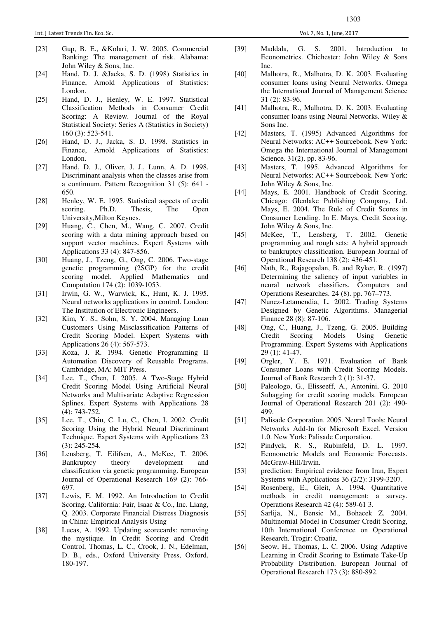- [23] Gup, B. E., &Kolari, J. W. 2005. Commercial Banking: The management of risk. Alabama: John Wiley & Sons, Inc.
- [24] Hand, D. J. &Jacka, S. D. (1998) Statistics in Finance, Arnold Applications of Statistics: London.
- [25] Hand, D. J., Henley, W. E. 1997. Statistical Classification Methods in Consumer Credit Scoring: A Review. Journal of the Royal Statistical Society: Series A (Statistics in Society) 160 (3): 523-541.
- [26] Hand, D. J., Jacka, S. D. 1998. Statistics in Finance, Arnold Applications of Statistics: London.
- [27] Hand, D. J., Oliver, J. J., Lunn, A. D. 1998. Discriminant analysis when the classes arise from a continuum. Pattern Recognition 31 (5): 641 - 650.
- [28] Henley, W. E. 1995. Statistical aspects of credit scoring. Ph.D. Thesis, The Open University,Milton Keynes.
- [29] Huang, C., Chen, M., Wang, C. 2007. Credit scoring with a data mining approach based on support vector machines. Expert Systems with Applications 33 (4): 847-856.
- [30] Huang, J., Tzeng, G., Ong, C. 2006. Two-stage genetic programming (2SGP) for the credit scoring model. Applied Mathematics and Computation 174 (2): 1039-1053.
- [31] Irwin, G. W., Warwick, K., Hunt, K. J. 1995. Neural networks applications in control. London: The Institution of Electronic Engineers.
- [32] Kim, Y. S., Sohn, S. Y. 2004. Managing Loan Customers Using Misclassification Patterns of Credit Scoring Model. Expert Systems with Applications 26 (4): 567-573.
- [33] Koza, J. R. 1994. Genetic Programming II Automation Discovery of Reusable Programs. Cambridge, MA: MIT Press.
- [34] Lee, T., Chen, I. 2005. A Two-Stage Hybrid Credit Scoring Model Using Artificial Neural Networks and Multivariate Adaptive Regression Splines. Expert Systems with Applications 28 (4): 743-752.
- [35] Lee, T., Chiu, C. Lu, C., Chen, I. 2002. Credit Scoring Using the Hybrid Neural Discriminant Technique. Expert Systems with Applications 23 (3): 245-254.
- [36] Lensberg, T. Eilifsen, A., McKee, T. 2006. Bankruptcy theory development and classification via genetic programming. European Journal of Operational Research 169 (2): 766- 697.
- [37] Lewis, E. M. 1992. An Introduction to Credit Scoring. California: Fair, Isaac & Co., Inc. Liang, Q. 2003. Corporate Financial Distress Diagnosis in China: Empirical Analysis Using
- [38] Lucas, A. 1992. Updating scorecards: removing the mystique. In Credit Scoring and Credit Control, Thomas, L. C., Crook, J. N., Edelman, D. B., eds., Oxford University Press, Oxford, 180-197.
- [39] Maddala, G. S. 2001. Introduction to Econometrics. Chichester: John Wiley & Sons Inc.
- [40] Malhotra, R., Malhotra, D. K. 2003. Evaluating consumer loans using Neural Networks. Omega the International Journal of Management Science 31 (2): 83-96.
- [41] Malhotra, R., Malhotra, D. K. 2003. Evaluating consumer loans using Neural Networks. Wiley & Sons Inc.
- [42] Masters, T. (1995) Advanced Algorithms for Neural Networks: AC++ Sourcebook. New York: Omega the International Journal of Management Science. 31(2). pp. 83-96.
- [43] Masters, T. 1995. Advanced Algorithms for Neural Networks: AC++ Sourcebook. New York: John Wiley & Sons, Inc.
- [44] Mays, E. 2001. Handbook of Credit Scoring. Chicago: Glenlake Publishing Company, Ltd. Mays, E. 2004. The Rule of Credit Scores in Consumer Lending. In E. Mays, Credit Scoring. John Wiley & Sons, Inc.
- [45] McKee, T., Lensberg, T. 2002. Genetic programming and rough sets: A hybrid approach to bankruptcy classification. European Journal of Operational Research 138 (2): 436-451.
- [46] Nath, R., Rajagopalan, B. and Ryker, R. (1997) Determining the saliency of input variables in neural network classifiers. Computers and Operations Researches. 24 (8). pp. 767–773.
- [47] Nunez-Letamendia, L. 2002. Trading Systems Designed by Genetic Algorithms. Managerial Finance 28 (8): 87-106.
- [48] Ong, C., Huang, J., Tzeng, G. 2005. Building Credit Scoring Models Using Genetic Programming. Expert Systems with Applications 29 (1): 41-47.
- [49] Orgler, Y. E. 1971. Evaluation of Bank Consumer Loans with Credit Scoring Models. Journal of Bank Research 2 (1): 31-37.
- [50] Paleologo, G., Elisseeff, A., Antonini, G. 2010 Subagging for credit scoring models. European Journal of Operational Research 201 (2): 490- 499.
- [51] Palisade Corporation. 2005. Neural Tools: Neural Networks Add-In for Microsoft Excel. Version 1.0. New York: Palisade Corporation.
- [52] Pindyck, R. S., Rubinfeld, D. L. 1997. Econometric Models and Economic Forecasts. McGraw-Hill/Irwin.
- [53] prediction: Empirical evidence from Iran, Expert Systems with Applications 36 (2/2): 3199-3207.
- [54] Rosenberg, E., Gleit, A. 1994. Quantitative methods in credit management: a survey. Operations Research 42 (4): 589-61 3.
- [55] Sarlija, N., Bensic M., Bohacek Z. 2004. Multinomial Model in Consumer Credit Scoring, 10th International Conference on Operational Research. Trogir: Croatia.
- [56] Seow, H., Thomas, L. C. 2006. Using Adaptive Learning in Credit Scoring to Estimate Take-Up Probability Distribution. European Journal of Operational Research 173 (3): 880-892.